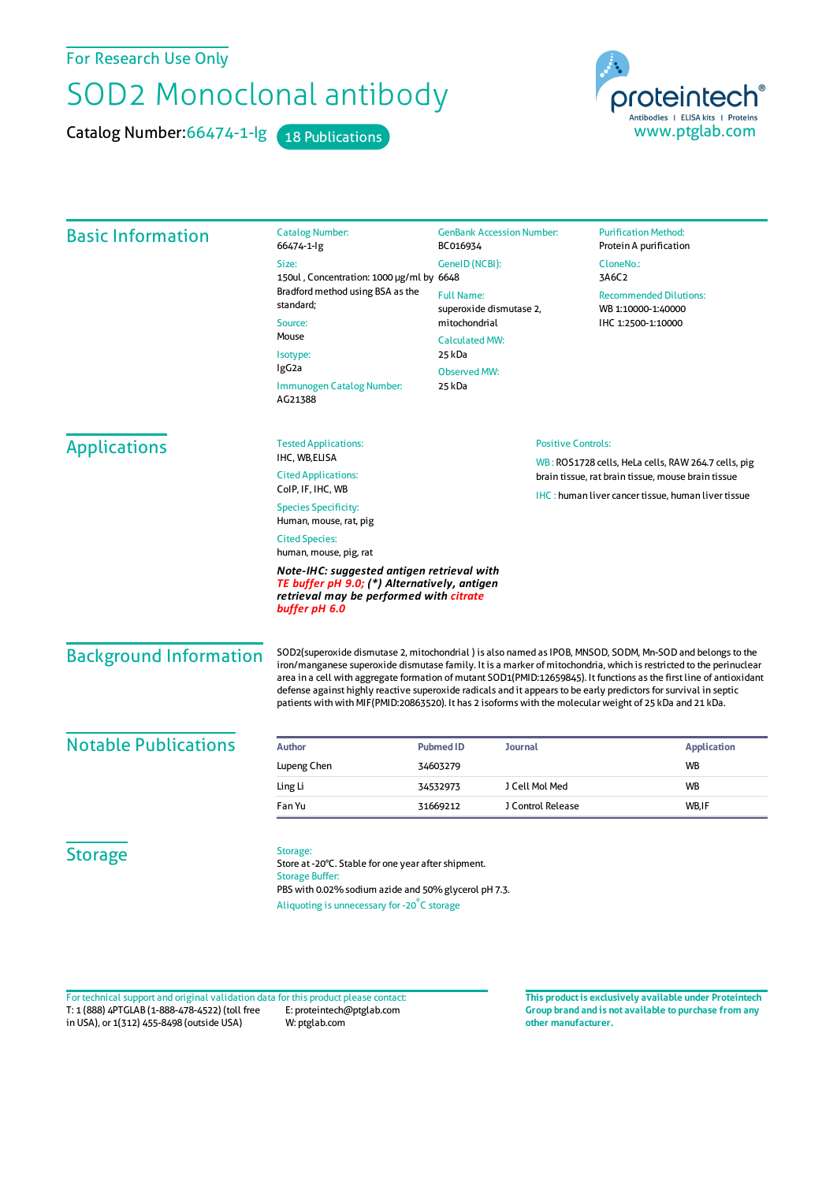## For Research Use Only

## SOD2 Monoclonal antibody

Catalog Number: 66474-1-lg 18 Publications

proteintech® Antibodies | ELISA kits | Proteins<br>WWW.ptglab.com

| <b>Basic Information</b>      | <b>Catalog Number:</b><br>66474-1-lg                                                                                                                                                                                                                                                                                                                                                                                                                                                                                                                                                    | <b>GenBank Accession Number:</b><br>BC016934<br>GenelD (NCBI):   |                                                     | <b>Purification Method:</b><br>Protein A purification      |  |
|-------------------------------|-----------------------------------------------------------------------------------------------------------------------------------------------------------------------------------------------------------------------------------------------------------------------------------------------------------------------------------------------------------------------------------------------------------------------------------------------------------------------------------------------------------------------------------------------------------------------------------------|------------------------------------------------------------------|-----------------------------------------------------|------------------------------------------------------------|--|
|                               | Size:<br>150ul, Concentration: 1000 µg/ml by 6648<br>Bradford method using BSA as the<br>standard;<br>Source:<br>Mouse<br>Isotype:<br>IgG <sub>2a</sub><br>Immunogen Catalog Number:<br>AG21388                                                                                                                                                                                                                                                                                                                                                                                         |                                                                  |                                                     | CloneNo.:                                                  |  |
|                               |                                                                                                                                                                                                                                                                                                                                                                                                                                                                                                                                                                                         |                                                                  |                                                     | 3A6C2                                                      |  |
|                               |                                                                                                                                                                                                                                                                                                                                                                                                                                                                                                                                                                                         | <b>Full Name:</b><br>superoxide dismutase 2,                     |                                                     | <b>Recommended Dilutions:</b><br>WB 1:10000-1:40000        |  |
|                               |                                                                                                                                                                                                                                                                                                                                                                                                                                                                                                                                                                                         | mitochondrial                                                    |                                                     | IHC 1:2500-1:10000                                         |  |
|                               |                                                                                                                                                                                                                                                                                                                                                                                                                                                                                                                                                                                         | <b>Calculated MW:</b><br>25 kDa<br><b>Observed MW:</b><br>25 kDa |                                                     |                                                            |  |
|                               |                                                                                                                                                                                                                                                                                                                                                                                                                                                                                                                                                                                         |                                                                  |                                                     |                                                            |  |
|                               |                                                                                                                                                                                                                                                                                                                                                                                                                                                                                                                                                                                         |                                                                  |                                                     |                                                            |  |
| <b>Applications</b>           | <b>Tested Applications:</b>                                                                                                                                                                                                                                                                                                                                                                                                                                                                                                                                                             | <b>Positive Controls:</b>                                        |                                                     |                                                            |  |
|                               | IHC, WB,ELISA                                                                                                                                                                                                                                                                                                                                                                                                                                                                                                                                                                           |                                                                  | WB: ROS1728 cells, HeLa cells, RAW 264.7 cells, pig |                                                            |  |
|                               | <b>Cited Applications:</b><br>ColP, IF, IHC, WB                                                                                                                                                                                                                                                                                                                                                                                                                                                                                                                                         |                                                                  |                                                     | brain tissue, rat brain tissue, mouse brain tissue         |  |
|                               | <b>Species Specificity:</b><br>Human, mouse, rat, pig                                                                                                                                                                                                                                                                                                                                                                                                                                                                                                                                   |                                                                  |                                                     | <b>IHC</b> : human liver cancer tissue, human liver tissue |  |
|                               | <b>Cited Species:</b><br>human, mouse, pig, rat                                                                                                                                                                                                                                                                                                                                                                                                                                                                                                                                         |                                                                  |                                                     |                                                            |  |
|                               | Note-IHC: suggested antigen retrieval with<br>TE buffer pH 9.0; (*) Alternatively, antigen<br>retrieval may be performed with citrate<br>buffer pH 6.0                                                                                                                                                                                                                                                                                                                                                                                                                                  |                                                                  |                                                     |                                                            |  |
| <b>Background Information</b> | SOD2(superoxide dismutase 2, mitochondrial) is also named as IPOB, MNSOD, SODM, Mn-SOD and belongs to the<br>iron/manganese superoxide dismutase family. It is a marker of mitochondria, which is restricted to the perinuclear<br>area in a cell with aggregate formation of mutant SOD1(PMID:12659845). It functions as the first line of antioxidant<br>defense against highly reactive superoxide radicals and it appears to be early predictors for survival in septic<br>patients with with MIF(PMID:20863520). It has 2 isoforms with the molecular weight of 25 kDa and 21 kDa. |                                                                  |                                                     |                                                            |  |
| <b>Notable Publications</b>   | <b>Author</b>                                                                                                                                                                                                                                                                                                                                                                                                                                                                                                                                                                           | <b>Pubmed ID</b><br><b>Journal</b>                               |                                                     | <b>Application</b>                                         |  |
|                               | Lupeng Chen                                                                                                                                                                                                                                                                                                                                                                                                                                                                                                                                                                             | 34603279                                                         |                                                     | WB                                                         |  |
|                               | Ling Li                                                                                                                                                                                                                                                                                                                                                                                                                                                                                                                                                                                 | 34532973                                                         | J Cell Mol Med                                      | <b>WB</b>                                                  |  |
|                               | Fan Yu                                                                                                                                                                                                                                                                                                                                                                                                                                                                                                                                                                                  | 31669212                                                         | J Control Release                                   | WB,IF                                                      |  |
| <b>Storage</b>                | Storage:<br>Store at -20°C. Stable for one year after shipment.<br><b>Storage Buffer:</b><br>PBS with 0.02% sodium azide and 50% glycerol pH 7.3.<br>Aliquoting is unnecessary for -20°C storage                                                                                                                                                                                                                                                                                                                                                                                        |                                                                  |                                                     |                                                            |  |

T: 1 (888) 4PTGLAB (1-888-478-4522) (toll free in USA), or 1(312) 455-8498 (outside USA) E: proteintech@ptglab.com W: ptglab.com Fortechnical support and original validation data forthis product please contact: **This productis exclusively available under Proteintech**

**Group brand and is not available to purchase from any other manufacturer.**